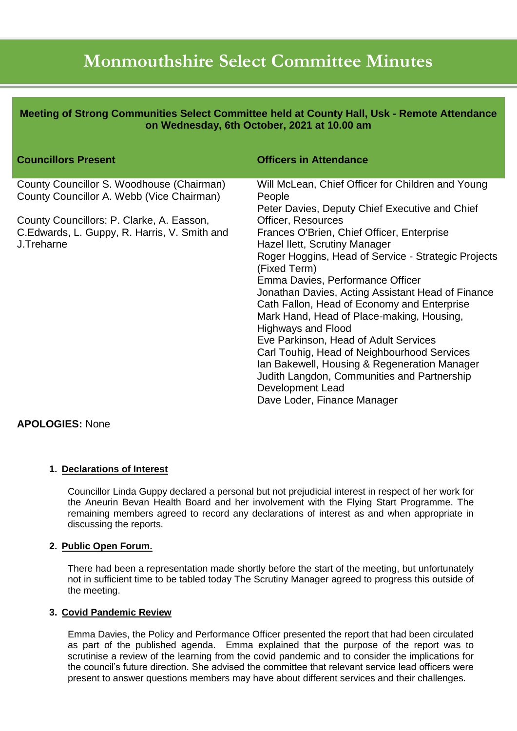# **Monmouthshire Select Committee Minutes**

**Meeting of Strong Communities Select Committee held at County Hall, Usk - Remote Attendance on Wednesday, 6th October, 2021 at 10.00 am**

| <b>Councillors Present</b>                                                             | <b>Officers in Attendance</b>                                       |
|----------------------------------------------------------------------------------------|---------------------------------------------------------------------|
| County Councillor S. Woodhouse (Chairman)<br>County Councillor A. Webb (Vice Chairman) | Will McLean, Chief Officer for Children and Young<br>People         |
|                                                                                        | Peter Davies, Deputy Chief Executive and Chief                      |
| County Councillors: P. Clarke, A. Easson,                                              | <b>Officer, Resources</b>                                           |
| C. Edwards, L. Guppy, R. Harris, V. Smith and                                          | Frances O'Brien, Chief Officer, Enterprise                          |
| J.Treharne                                                                             | Hazel Ilett, Scrutiny Manager                                       |
|                                                                                        | Roger Hoggins, Head of Service - Strategic Projects<br>(Fixed Term) |
|                                                                                        | Emma Davies, Performance Officer                                    |
|                                                                                        | Jonathan Davies, Acting Assistant Head of Finance                   |
|                                                                                        | Cath Fallon, Head of Economy and Enterprise                         |
|                                                                                        | Mark Hand, Head of Place-making, Housing,                           |
|                                                                                        | <b>Highways and Flood</b>                                           |
|                                                                                        | Eve Parkinson, Head of Adult Services                               |
|                                                                                        | Carl Touhig, Head of Neighbourhood Services                         |
|                                                                                        | Ian Bakewell, Housing & Regeneration Manager                        |
|                                                                                        | Judith Langdon, Communities and Partnership                         |
|                                                                                        | Development Lead                                                    |
|                                                                                        | Dave Loder, Finance Manager                                         |

## **APOLOGIES:** None

## **1. Declarations of Interest**

Councillor Linda Guppy declared a personal but not prejudicial interest in respect of her work for the Aneurin Bevan Health Board and her involvement with the Flying Start Programme. The remaining members agreed to record any declarations of interest as and when appropriate in discussing the reports.

#### **2. Public Open Forum.**

There had been a representation made shortly before the start of the meeting, but unfortunately not in sufficient time to be tabled today The Scrutiny Manager agreed to progress this outside of the meeting.

## **3. Covid Pandemic Review**

Emma Davies, the Policy and Performance Officer presented the report that had been circulated as part of the published agenda. Emma explained that the purpose of the report was to scrutinise a review of the learning from the covid pandemic and to consider the implications for the council's future direction. She advised the committee that relevant service lead officers were present to answer questions members may have about different services and their challenges.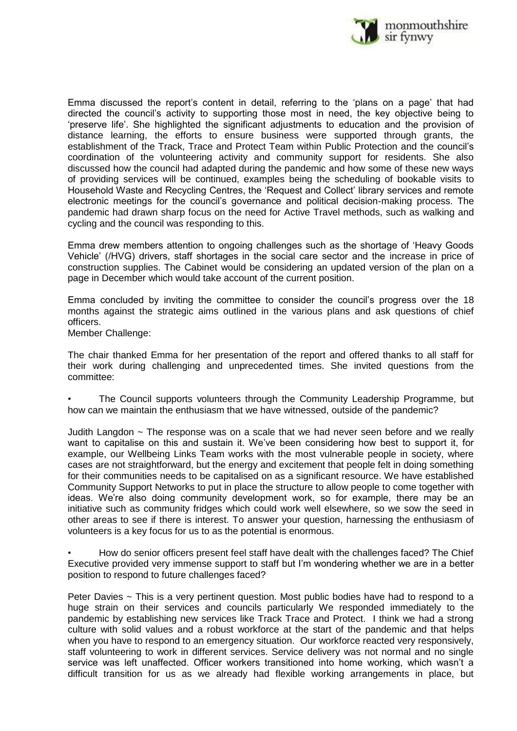

Emma discussed the report's content in detail, referring to the 'plans on a page' that had directed the council's activity to supporting those most in need, the key objective being to 'preserve life'. She highlighted the significant adjustments to education and the provision of distance learning, the efforts to ensure business were supported through grants, the establishment of the Track, Trace and Protect Team within Public Protection and the council's coordination of the volunteering activity and community support for residents. She also discussed how the council had adapted during the pandemic and how some of these new ways of providing services will be continued, examples being the scheduling of bookable visits to Household Waste and Recycling Centres, the 'Request and Collect' library services and remote electronic meetings for the council's governance and political decision-making process. The pandemic had drawn sharp focus on the need for Active Travel methods, such as walking and cycling and the council was responding to this.

Emma drew members attention to ongoing challenges such as the shortage of 'Heavy Goods Vehicle' (/HVG) drivers, staff shortages in the social care sector and the increase in price of construction supplies. The Cabinet would be considering an updated version of the plan on a page in December which would take account of the current position.

Emma concluded by inviting the committee to consider the council's progress over the 18 months against the strategic aims outlined in the various plans and ask questions of chief officers.

Member Challenge:

The chair thanked Emma for her presentation of the report and offered thanks to all staff for their work during challenging and unprecedented times. She invited questions from the committee:

• The Council supports volunteers through the Community Leadership Programme, but how can we maintain the enthusiasm that we have witnessed, outside of the pandemic?

Judith Langdon ~ The response was on a scale that we had never seen before and we really want to capitalise on this and sustain it. We've been considering how best to support it, for example, our Wellbeing Links Team works with the most vulnerable people in society, where cases are not straightforward, but the energy and excitement that people felt in doing something for their communities needs to be capitalised on as a significant resource. We have established Community Support Networks to put in place the structure to allow people to come together with ideas. We're also doing community development work, so for example, there may be an initiative such as community fridges which could work well elsewhere, so we sow the seed in other areas to see if there is interest. To answer your question, harnessing the enthusiasm of volunteers is a key focus for us to as the potential is enormous.

• How do senior officers present feel staff have dealt with the challenges faced? The Chief Executive provided very immense support to staff but I'm wondering whether we are in a better position to respond to future challenges faced?

Peter Davies ~ This is a very pertinent question. Most public bodies have had to respond to a huge strain on their services and councils particularly We responded immediately to the pandemic by establishing new services like Track Trace and Protect. I think we had a strong culture with solid values and a robust workforce at the start of the pandemic and that helps when you have to respond to an emergency situation. Our workforce reacted very responsively, staff volunteering to work in different services. Service delivery was not normal and no single service was left unaffected. Officer workers transitioned into home working, which wasn't a difficult transition for us as we already had flexible working arrangements in place, but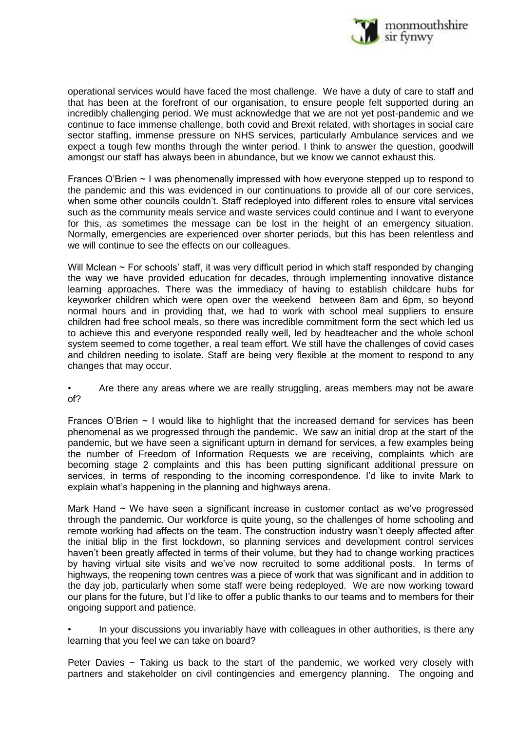

operational services would have faced the most challenge. We have a duty of care to staff and that has been at the forefront of our organisation, to ensure people felt supported during an incredibly challenging period. We must acknowledge that we are not yet post-pandemic and we continue to face immense challenge, both covid and Brexit related, with shortages in social care sector staffing, immense pressure on NHS services, particularly Ambulance services and we expect a tough few months through the winter period. I think to answer the question, goodwill amongst our staff has always been in abundance, but we know we cannot exhaust this.

Frances O'Brien ~ I was phenomenally impressed with how everyone stepped up to respond to the pandemic and this was evidenced in our continuations to provide all of our core services, when some other councils couldn't. Staff redeployed into different roles to ensure vital services such as the community meals service and waste services could continue and I want to everyone for this, as sometimes the message can be lost in the height of an emergency situation. Normally, emergencies are experienced over shorter periods, but this has been relentless and we will continue to see the effects on our colleagues.

Will Mclean ~ For schools' staff, it was very difficult period in which staff responded by changing the way we have provided education for decades, through implementing innovative distance learning approaches. There was the immediacy of having to establish childcare hubs for keyworker children which were open over the weekend between 8am and 6pm, so beyond normal hours and in providing that, we had to work with school meal suppliers to ensure children had free school meals, so there was incredible commitment form the sect which led us to achieve this and everyone responded really well, led by headteacher and the whole school system seemed to come together, a real team effort. We still have the challenges of covid cases and children needing to isolate. Staff are being very flexible at the moment to respond to any changes that may occur.

• Are there any areas where we are really struggling, areas members may not be aware of?

Frances O'Brien  $\sim$  I would like to highlight that the increased demand for services has been phenomenal as we progressed through the pandemic. We saw an initial drop at the start of the pandemic, but we have seen a significant upturn in demand for services, a few examples being the number of Freedom of Information Requests we are receiving, complaints which are becoming stage 2 complaints and this has been putting significant additional pressure on services, in terms of responding to the incoming correspondence. I'd like to invite Mark to explain what's happening in the planning and highways arena.

Mark Hand  $\sim$  We have seen a significant increase in customer contact as we've progressed through the pandemic. Our workforce is quite young, so the challenges of home schooling and remote working had affects on the team. The construction industry wasn't deeply affected after the initial blip in the first lockdown, so planning services and development control services haven't been greatly affected in terms of their volume, but they had to change working practices by having virtual site visits and we've now recruited to some additional posts. In terms of highways, the reopening town centres was a piece of work that was significant and in addition to the day job, particularly when some staff were being redeployed. We are now working toward our plans for the future, but I'd like to offer a public thanks to our teams and to members for their ongoing support and patience.

• In your discussions you invariably have with colleagues in other authorities, is there any learning that you feel we can take on board?

Peter Davies  $\sim$  Taking us back to the start of the pandemic, we worked very closely with partners and stakeholder on civil contingencies and emergency planning. The ongoing and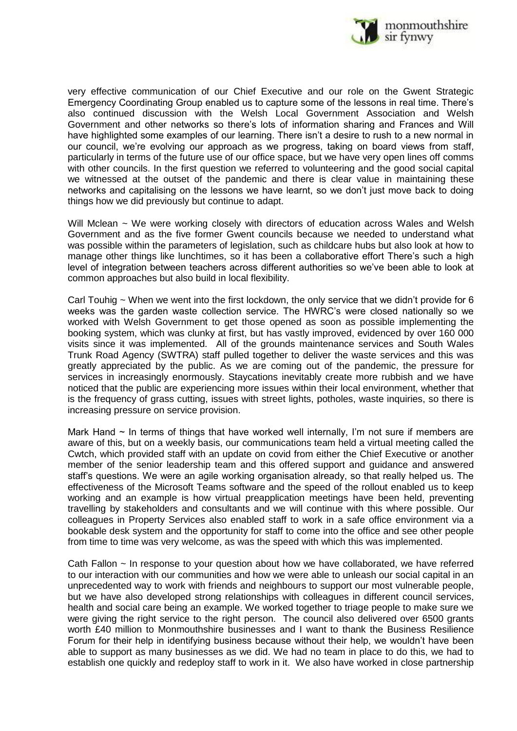

very effective communication of our Chief Executive and our role on the Gwent Strategic Emergency Coordinating Group enabled us to capture some of the lessons in real time. There's also continued discussion with the Welsh Local Government Association and Welsh Government and other networks so there's lots of information sharing and Frances and Will have highlighted some examples of our learning. There isn't a desire to rush to a new normal in our council, we're evolving our approach as we progress, taking on board views from staff, particularly in terms of the future use of our office space, but we have very open lines off comms with other councils. In the first question we referred to volunteering and the good social capital we witnessed at the outset of the pandemic and there is clear value in maintaining these networks and capitalising on the lessons we have learnt, so we don't just move back to doing things how we did previously but continue to adapt.

Will Mclean ~ We were working closely with directors of education across Wales and Welsh Government and as the five former Gwent councils because we needed to understand what was possible within the parameters of legislation, such as childcare hubs but also look at how to manage other things like lunchtimes, so it has been a collaborative effort There's such a high level of integration between teachers across different authorities so we've been able to look at common approaches but also build in local flexibility.

Carl Touhig  $\sim$  When we went into the first lockdown, the only service that we didn't provide for 6 weeks was the garden waste collection service. The HWRC's were closed nationally so we worked with Welsh Government to get those opened as soon as possible implementing the booking system, which was clunky at first, but has vastly improved, evidenced by over 160 000 visits since it was implemented. All of the grounds maintenance services and South Wales Trunk Road Agency (SWTRA) staff pulled together to deliver the waste services and this was greatly appreciated by the public. As we are coming out of the pandemic, the pressure for services in increasingly enormously. Staycations inevitably create more rubbish and we have noticed that the public are experiencing more issues within their local environment, whether that is the frequency of grass cutting, issues with street lights, potholes, waste inquiries, so there is increasing pressure on service provision.

Mark Hand  $\sim$  In terms of things that have worked well internally, I'm not sure if members are aware of this, but on a weekly basis, our communications team held a virtual meeting called the Cwtch, which provided staff with an update on covid from either the Chief Executive or another member of the senior leadership team and this offered support and guidance and answered staff's questions. We were an agile working organisation already, so that really helped us. The effectiveness of the Microsoft Teams software and the speed of the rollout enabled us to keep working and an example is how virtual preapplication meetings have been held, preventing travelling by stakeholders and consultants and we will continue with this where possible. Our colleagues in Property Services also enabled staff to work in a safe office environment via a bookable desk system and the opportunity for staff to come into the office and see other people from time to time was very welcome, as was the speed with which this was implemented.

Cath Fallon ~ In response to your question about how we have collaborated, we have referred to our interaction with our communities and how we were able to unleash our social capital in an unprecedented way to work with friends and neighbours to support our most vulnerable people, but we have also developed strong relationships with colleagues in different council services, health and social care being an example. We worked together to triage people to make sure we were giving the right service to the right person. The council also delivered over 6500 grants worth £40 million to Monmouthshire businesses and I want to thank the Business Resilience Forum for their help in identifying business because without their help, we wouldn't have been able to support as many businesses as we did. We had no team in place to do this, we had to establish one quickly and redeploy staff to work in it. We also have worked in close partnership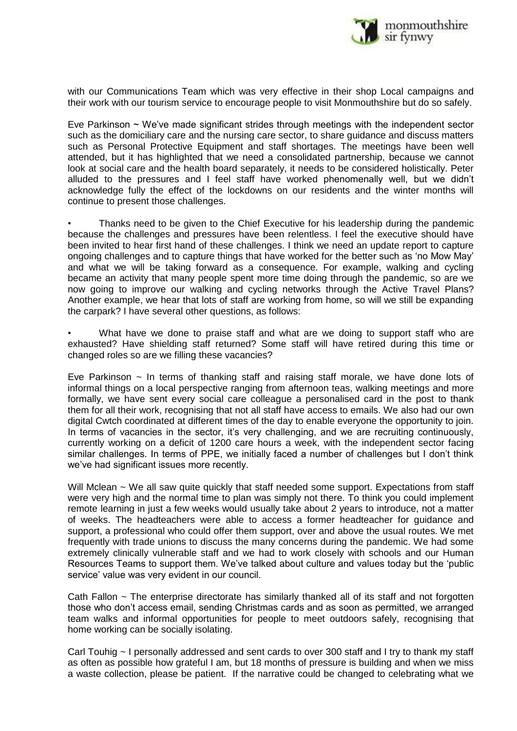

with our Communications Team which was very effective in their shop Local campaigns and their work with our tourism service to encourage people to visit Monmouthshire but do so safely.

Eve Parkinson  $\sim$  We've made significant strides through meetings with the independent sector such as the domiciliary care and the nursing care sector, to share guidance and discuss matters such as Personal Protective Equipment and staff shortages. The meetings have been well attended, but it has highlighted that we need a consolidated partnership, because we cannot look at social care and the health board separately, it needs to be considered holistically. Peter alluded to the pressures and I feel staff have worked phenomenally well, but we didn't acknowledge fully the effect of the lockdowns on our residents and the winter months will continue to present those challenges.

Thanks need to be given to the Chief Executive for his leadership during the pandemic because the challenges and pressures have been relentless. I feel the executive should have been invited to hear first hand of these challenges. I think we need an update report to capture ongoing challenges and to capture things that have worked for the better such as 'no Mow May' and what we will be taking forward as a consequence. For example, walking and cycling became an activity that many people spent more time doing through the pandemic, so are we now going to improve our walking and cycling networks through the Active Travel Plans? Another example, we hear that lots of staff are working from home, so will we still be expanding the carpark? I have several other questions, as follows:

What have we done to praise staff and what are we doing to support staff who are exhausted? Have shielding staff returned? Some staff will have retired during this time or changed roles so are we filling these vacancies?

Eve Parkinson  $\sim$  In terms of thanking staff and raising staff morale, we have done lots of informal things on a local perspective ranging from afternoon teas, walking meetings and more formally, we have sent every social care colleague a personalised card in the post to thank them for all their work, recognising that not all staff have access to emails. We also had our own digital Cwtch coordinated at different times of the day to enable everyone the opportunity to join. In terms of vacancies in the sector, it's very challenging, and we are recruiting continuously, currently working on a deficit of 1200 care hours a week, with the independent sector facing similar challenges. In terms of PPE, we initially faced a number of challenges but I don't think we've had significant issues more recently.

Will Mclean ~ We all saw quite quickly that staff needed some support. Expectations from staff were very high and the normal time to plan was simply not there. To think you could implement remote learning in just a few weeks would usually take about 2 years to introduce, not a matter of weeks. The headteachers were able to access a former headteacher for guidance and support, a professional who could offer them support, over and above the usual routes. We met frequently with trade unions to discuss the many concerns during the pandemic. We had some extremely clinically vulnerable staff and we had to work closely with schools and our Human Resources Teams to support them. We've talked about culture and values today but the 'public service' value was very evident in our council.

Cath Fallon ~ The enterprise directorate has similarly thanked all of its staff and not forgotten those who don't access email, sending Christmas cards and as soon as permitted, we arranged team walks and informal opportunities for people to meet outdoors safely, recognising that home working can be socially isolating.

Carl Touhig ~ I personally addressed and sent cards to over 300 staff and I try to thank my staff as often as possible how grateful I am, but 18 months of pressure is building and when we miss a waste collection, please be patient. If the narrative could be changed to celebrating what we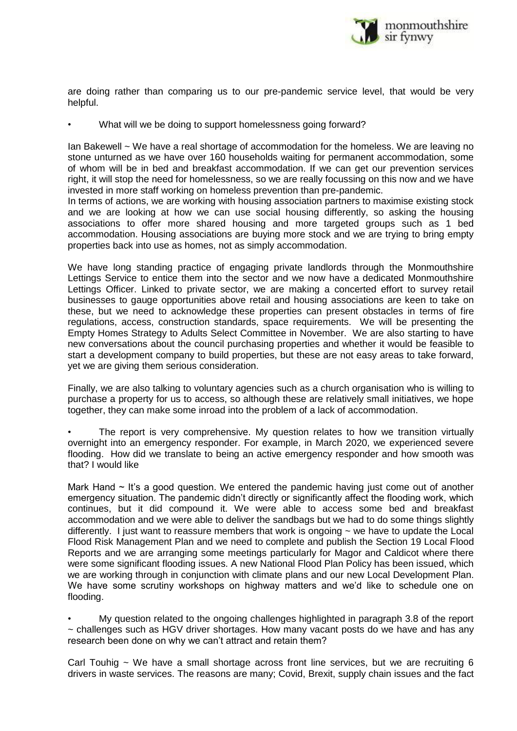

are doing rather than comparing us to our pre-pandemic service level, that would be very helpful.

• What will we be doing to support homelessness going forward?

Ian Bakewell ~ We have a real shortage of accommodation for the homeless. We are leaving no stone unturned as we have over 160 households waiting for permanent accommodation, some of whom will be in bed and breakfast accommodation. If we can get our prevention services right, it will stop the need for homelessness, so we are really focussing on this now and we have invested in more staff working on homeless prevention than pre-pandemic.

In terms of actions, we are working with housing association partners to maximise existing stock and we are looking at how we can use social housing differently, so asking the housing associations to offer more shared housing and more targeted groups such as 1 bed accommodation. Housing associations are buying more stock and we are trying to bring empty properties back into use as homes, not as simply accommodation.

We have long standing practice of engaging private landlords through the Monmouthshire Lettings Service to entice them into the sector and we now have a dedicated Monmouthshire Lettings Officer. Linked to private sector, we are making a concerted effort to survey retail businesses to gauge opportunities above retail and housing associations are keen to take on these, but we need to acknowledge these properties can present obstacles in terms of fire regulations, access, construction standards, space requirements. We will be presenting the Empty Homes Strategy to Adults Select Committee in November. We are also starting to have new conversations about the council purchasing properties and whether it would be feasible to start a development company to build properties, but these are not easy areas to take forward, yet we are giving them serious consideration.

Finally, we are also talking to voluntary agencies such as a church organisation who is willing to purchase a property for us to access, so although these are relatively small initiatives, we hope together, they can make some inroad into the problem of a lack of accommodation.

The report is very comprehensive. My question relates to how we transition virtually overnight into an emergency responder. For example, in March 2020, we experienced severe flooding. How did we translate to being an active emergency responder and how smooth was that? I would like

Mark Hand  $\sim$  It's a good question. We entered the pandemic having just come out of another emergency situation. The pandemic didn't directly or significantly affect the flooding work, which continues, but it did compound it. We were able to access some bed and breakfast accommodation and we were able to deliver the sandbags but we had to do some things slightly differently. I just want to reassure members that work is ongoing  $\sim$  we have to update the Local Flood Risk Management Plan and we need to complete and publish the Section 19 Local Flood Reports and we are arranging some meetings particularly for Magor and Caldicot where there were some significant flooding issues. A new National Flood Plan Policy has been issued, which we are working through in conjunction with climate plans and our new Local Development Plan. We have some scrutiny workshops on highway matters and we'd like to schedule one on flooding.

• My question related to the ongoing challenges highlighted in paragraph 3.8 of the report  $\sim$  challenges such as HGV driver shortages. How many vacant posts do we have and has any research been done on why we can't attract and retain them?

Carl Touhig  $\sim$  We have a small shortage across front line services, but we are recruiting 6 drivers in waste services. The reasons are many; Covid, Brexit, supply chain issues and the fact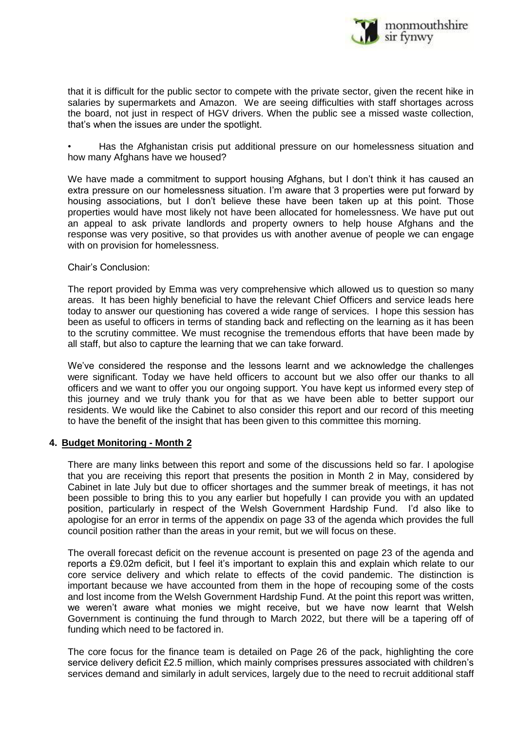

that it is difficult for the public sector to compete with the private sector, given the recent hike in salaries by supermarkets and Amazon. We are seeing difficulties with staff shortages across the board, not just in respect of HGV drivers. When the public see a missed waste collection, that's when the issues are under the spotlight.

• Has the Afghanistan crisis put additional pressure on our homelessness situation and how many Afghans have we housed?

We have made a commitment to support housing Afghans, but I don't think it has caused an extra pressure on our homelessness situation. I'm aware that 3 properties were put forward by housing associations, but I don't believe these have been taken up at this point. Those properties would have most likely not have been allocated for homelessness. We have put out an appeal to ask private landlords and property owners to help house Afghans and the response was very positive, so that provides us with another avenue of people we can engage with on provision for homelessness.

#### Chair's Conclusion:

The report provided by Emma was very comprehensive which allowed us to question so many areas. It has been highly beneficial to have the relevant Chief Officers and service leads here today to answer our questioning has covered a wide range of services. I hope this session has been as useful to officers in terms of standing back and reflecting on the learning as it has been to the scrutiny committee. We must recognise the tremendous efforts that have been made by all staff, but also to capture the learning that we can take forward.

We've considered the response and the lessons learnt and we acknowledge the challenges were significant. Today we have held officers to account but we also offer our thanks to all officers and we want to offer you our ongoing support. You have kept us informed every step of this journey and we truly thank you for that as we have been able to better support our residents. We would like the Cabinet to also consider this report and our record of this meeting to have the benefit of the insight that has been given to this committee this morning.

## **4. Budget Monitoring - Month 2**

There are many links between this report and some of the discussions held so far. I apologise that you are receiving this report that presents the position in Month 2 in May, considered by Cabinet in late July but due to officer shortages and the summer break of meetings, it has not been possible to bring this to you any earlier but hopefully I can provide you with an updated position, particularly in respect of the Welsh Government Hardship Fund. I'd also like to apologise for an error in terms of the appendix on page 33 of the agenda which provides the full council position rather than the areas in your remit, but we will focus on these.

The overall forecast deficit on the revenue account is presented on page 23 of the agenda and reports a £9.02m deficit, but I feel it's important to explain this and explain which relate to our core service delivery and which relate to effects of the covid pandemic. The distinction is important because we have accounted from them in the hope of recouping some of the costs and lost income from the Welsh Government Hardship Fund. At the point this report was written, we weren't aware what monies we might receive, but we have now learnt that Welsh Government is continuing the fund through to March 2022, but there will be a tapering off of funding which need to be factored in.

The core focus for the finance team is detailed on Page 26 of the pack, highlighting the core service delivery deficit £2.5 million, which mainly comprises pressures associated with children's services demand and similarly in adult services, largely due to the need to recruit additional staff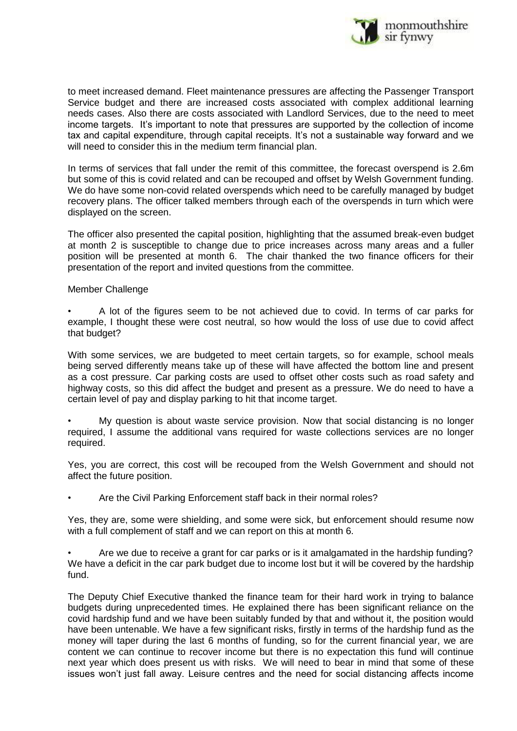

to meet increased demand. Fleet maintenance pressures are affecting the Passenger Transport Service budget and there are increased costs associated with complex additional learning needs cases. Also there are costs associated with Landlord Services, due to the need to meet income targets. It's important to note that pressures are supported by the collection of income tax and capital expenditure, through capital receipts. It's not a sustainable way forward and we will need to consider this in the medium term financial plan.

In terms of services that fall under the remit of this committee, the forecast overspend is 2.6m but some of this is covid related and can be recouped and offset by Welsh Government funding. We do have some non-covid related overspends which need to be carefully managed by budget recovery plans. The officer talked members through each of the overspends in turn which were displayed on the screen.

The officer also presented the capital position, highlighting that the assumed break-even budget at month 2 is susceptible to change due to price increases across many areas and a fuller position will be presented at month 6. The chair thanked the two finance officers for their presentation of the report and invited questions from the committee.

#### Member Challenge

• A lot of the figures seem to be not achieved due to covid. In terms of car parks for example, I thought these were cost neutral, so how would the loss of use due to covid affect that budget?

With some services, we are budgeted to meet certain targets, so for example, school meals being served differently means take up of these will have affected the bottom line and present as a cost pressure. Car parking costs are used to offset other costs such as road safety and highway costs, so this did affect the budget and present as a pressure. We do need to have a certain level of pay and display parking to hit that income target.

• My question is about waste service provision. Now that social distancing is no longer required, I assume the additional vans required for waste collections services are no longer required.

Yes, you are correct, this cost will be recouped from the Welsh Government and should not affect the future position.

• Are the Civil Parking Enforcement staff back in their normal roles?

Yes, they are, some were shielding, and some were sick, but enforcement should resume now with a full complement of staff and we can report on this at month 6.

• Are we due to receive a grant for car parks or is it amalgamated in the hardship funding? We have a deficit in the car park budget due to income lost but it will be covered by the hardship fund.

The Deputy Chief Executive thanked the finance team for their hard work in trying to balance budgets during unprecedented times. He explained there has been significant reliance on the covid hardship fund and we have been suitably funded by that and without it, the position would have been untenable. We have a few significant risks, firstly in terms of the hardship fund as the money will taper during the last 6 months of funding, so for the current financial year, we are content we can continue to recover income but there is no expectation this fund will continue next year which does present us with risks. We will need to bear in mind that some of these issues won't just fall away. Leisure centres and the need for social distancing affects income